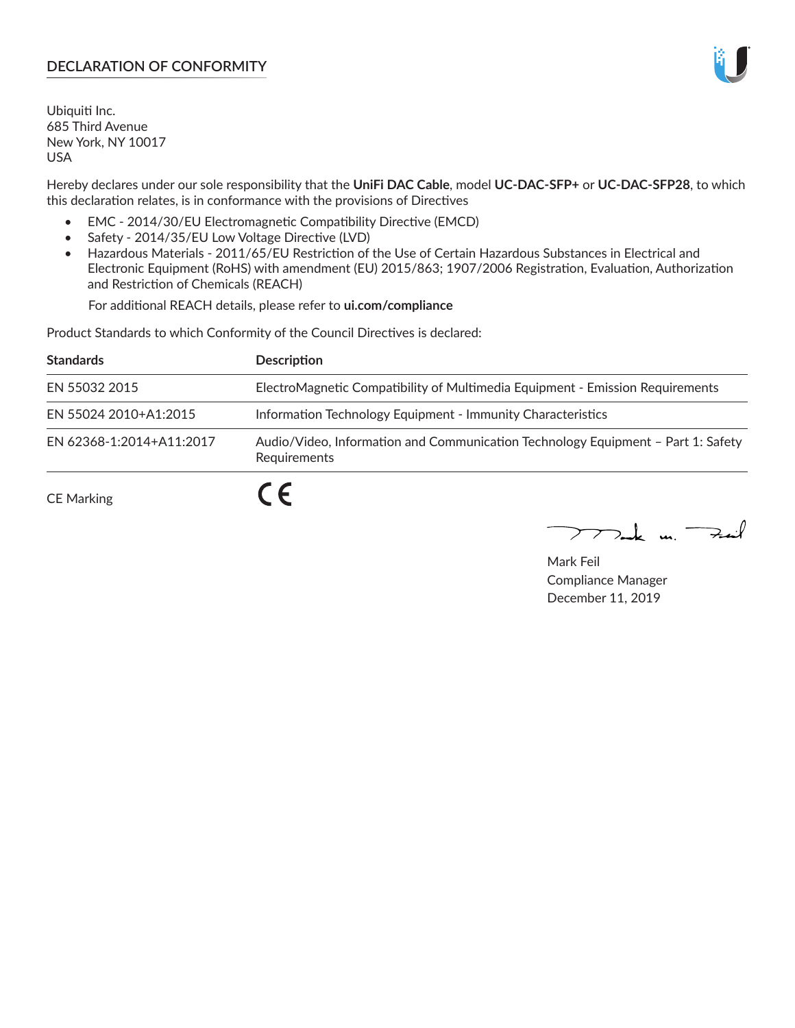# **DECLARATION OF CONFORMITY**

Ubiquiti Inc. 685 Third Avenue New York, NY 10017 USA

Hereby declares under our sole responsibility that the **UniFi DAC Cable**, model **UC-DAC-SFP+** or **UC-DAC-SFP28**, to which this declaration relates, is in conformance with the provisions of Directives

- EMC 2014/30/EU Electromagnetic Compatibility Directive (EMCD)
- Safety 2014/35/EU Low Voltage Directive (LVD)
- Hazardous Materials 2011/65/EU Restriction of the Use of Certain Hazardous Substances in Electrical and Electronic Equipment (RoHS) with amendment (EU) 2015/863; 1907/2006 Registration, Evaluation, Authorization and Restriction of Chemicals (REACH)

For additional REACH details, please refer to **ui.com/compliance**

Product Standards to which Conformity of the Council Directives is declared:

| <b>Standards</b>         | <b>Description</b>                                                                               |
|--------------------------|--------------------------------------------------------------------------------------------------|
| EN 55032 2015            | ElectroMagnetic Compatibility of Multimedia Equipment - Emission Requirements                    |
| EN 55024 2010+A1:2015    | Information Technology Equipment - Immunity Characteristics                                      |
| EN 62368-1:2014+A11:2017 | Audio/Video, Information and Communication Technology Equipment - Part 1: Safety<br>Requirements |
| <b>CE Marking</b>        | $\epsilon$                                                                                       |

 $\sum_{n=1}^{\infty}$  un  $\sum_{n=1}^{\infty}$ 

Mark Feil Compliance Manager December 11, 2019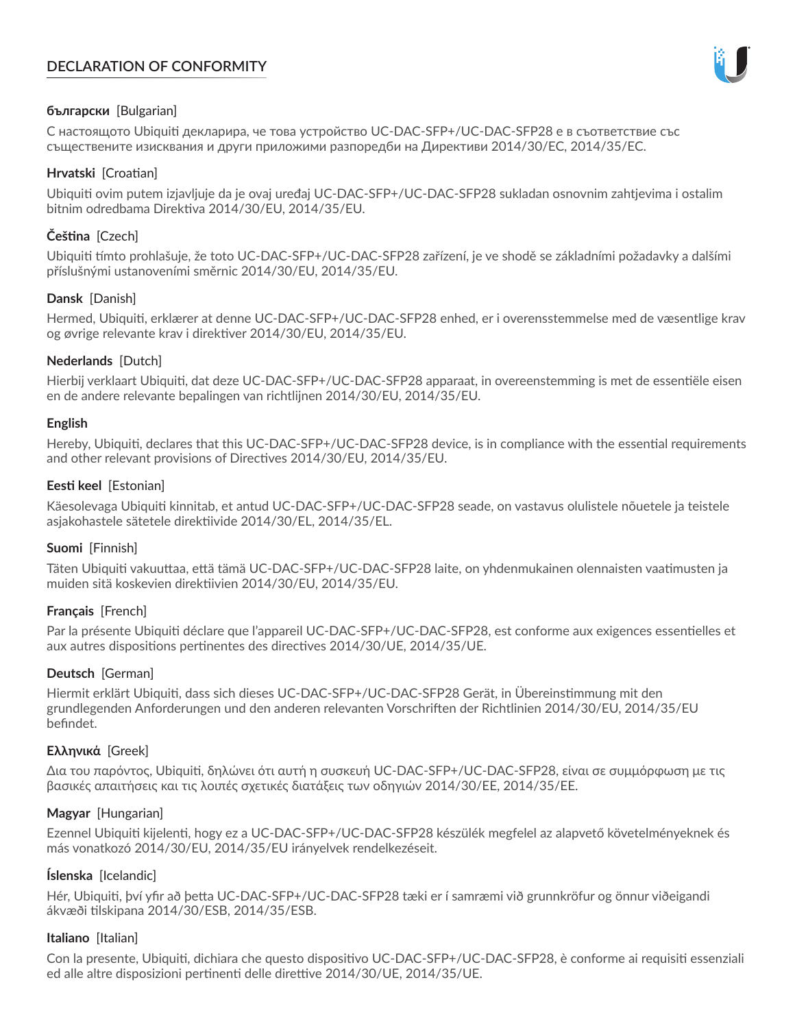# **DECLARATION OF CONFORMITY**



## **български** [Bulgarian]

С настоящото Ubiquiti декларира, че това устройство UC-DAC-SFP+/UC-DAC-SFP28 е в съответствие със съществените изисквания и други приложими разпоредби на Директиви 2014/30/ЕС, 2014/35/ЕС.

## **Hrvatski** [Croatian]

Ubiquiti ovim putem izjavljuje da je ovaj uređaj UC-DAC-SFP+/UC-DAC-SFP28 sukladan osnovnim zahtjevima i ostalim bitnim odredbama Direktiva 2014/30/EU, 2014/35/EU.

# **Čeština** [Czech]

Ubiquiti tímto prohlašuje, že toto UC-DAC-SFP+/UC-DAC-SFP28 zařízení, je ve shodě se základními požadavky a dalšími příslušnými ustanoveními směrnic 2014/30/EU, 2014/35/EU.

## **Dansk** [Danish]

Hermed, Ubiquiti, erklærer at denne UC-DAC-SFP+/UC-DAC-SFP28 enhed, er i overensstemmelse med de væsentlige krav og øvrige relevante krav i direktiver 2014/30/EU, 2014/35/EU.

## **Nederlands** [Dutch]

Hierbij verklaart Ubiquiti, dat deze UC-DAC-SFP+/UC-DAC-SFP28 apparaat, in overeenstemming is met de essentiële eisen en de andere relevante bepalingen van richtlijnen 2014/30/EU, 2014/35/EU.

## **English**

Hereby, Ubiquiti, declares that this UC-DAC-SFP+/UC-DAC-SFP28 device, is in compliance with the essential requirements and other relevant provisions of Directives 2014/30/EU, 2014/35/EU.

## **Eesti keel** [Estonian]

Käesolevaga Ubiquiti kinnitab, et antud UC-DAC-SFP+/UC-DAC-SFP28 seade, on vastavus olulistele nõuetele ja teistele asjakohastele sätetele direktiivide 2014/30/EL, 2014/35/EL.

## **Suomi** [Finnish]

Täten Ubiquiti vakuuttaa, että tämä UC-DAC-SFP+/UC-DAC-SFP28 laite, on yhdenmukainen olennaisten vaatimusten ja muiden sitä koskevien direktiivien 2014/30/EU, 2014/35/EU.

## **Français** [French]

Par la présente Ubiquiti déclare que l'appareil UC-DAC-SFP+/UC-DAC-SFP28, est conforme aux exigences essentielles et aux autres dispositions pertinentes des directives 2014/30/UE, 2014/35/UE.

## **Deutsch** [German]

Hiermit erklärt Ubiquiti, dass sich dieses UC-DAC-SFP+/UC-DAC-SFP28 Gerät, in Übereinstimmung mit den grundlegenden Anforderungen und den anderen relevanten Vorschriften der Richtlinien 2014/30/EU, 2014/35/EU befindet.

## **Ελληνικά** [Greek]

Δια του παρόντος, Ubiquiti, δηλώνει ότι αυτή η συσκευή UC-DAC-SFP+/UC-DAC-SFP28, είναι σε συμμόρφωση με τις βασικές απαιτήσεις και τις λοιπές σχετικές διατάξεις των οδηγιών 2014/30/EE, 2014/35/EE.

## **Magyar** [Hungarian]

Ezennel Ubiquiti kijelenti, hogy ez a UC-DAC-SFP+/UC-DAC-SFP28 készülék megfelel az alapvető követelményeknek és más vonatkozó 2014/30/EU, 2014/35/EU irányelvek rendelkezéseit.

# **Íslenska** [Icelandic]

Hér, Ubiquiti, því yfir að þetta UC-DAC-SFP+/UC-DAC-SFP28 tæki er í samræmi við grunnkröfur og önnur viðeigandi ákvæði tilskipana 2014/30/ESB, 2014/35/ESB.

## **Italiano** [Italian]

Con la presente, Ubiquiti, dichiara che questo dispositivo UC-DAC-SFP+/UC-DAC-SFP28, è conforme ai requisiti essenziali ed alle altre disposizioni pertinenti delle direttive 2014/30/UE, 2014/35/UE.